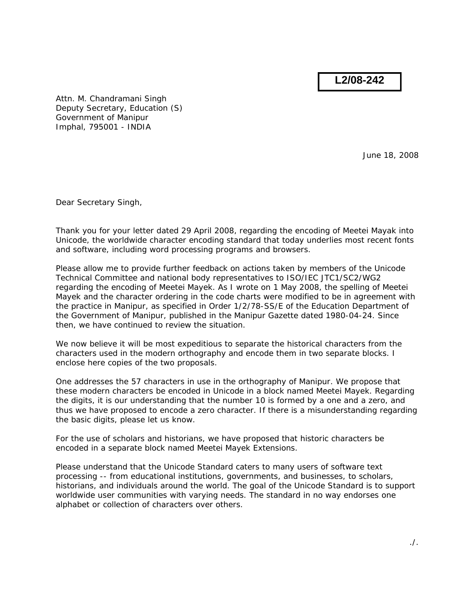**L2/08-242**

Attn. M. Chandramani Singh Deputy Secretary, Education (S) Government of Manipur Imphal, 795001 - INDIA

June 18, 2008

Dear Secretary Singh,

Thank you for your letter dated 29 April 2008, regarding the encoding of Meetei Mayak into Unicode, the worldwide character encoding standard that today underlies most recent fonts and software, including word processing programs and browsers.

Please allow me to provide further feedback on actions taken by members of the Unicode Technical Committee and national body representatives to ISO/IEC JTC1/SC2/WG2 regarding the encoding of Meetei Mayek. As I wrote on 1 May 2008, the spelling of Meetei Mayek and the character ordering in the code charts were modified to be in agreement with the practice in Manipur, as specified in Order 1/2/78-SS/E of the Education Department of the Government of Manipur, published in the *Manipur Gazette* dated 1980-04-24. Since then, we have continued to review the situation.

We now believe it will be most expeditious to separate the historical characters from the characters used in the modern orthography and encode them in two separate blocks. I enclose here copies of the two proposals.

One addresses the 57 characters in use in the orthography of Manipur. We propose that these modern characters be encoded in Unicode in a block named *Meetei Mayek*. Regarding the digits, it is our understanding that the number 10 is formed by a one and a zero, and thus we have proposed to encode a zero character. If there is a misunderstanding regarding the basic digits, please let us know.

For the use of scholars and historians, we have proposed that historic characters be encoded in a separate block named *Meetei Mayek Extensions*.

Please understand that the Unicode Standard caters to many users of software text processing -- from educational institutions, governments, and businesses, to scholars, historians, and individuals around the world. The goal of the Unicode Standard is to support worldwide user communities with varying needs. The standard in no way endorses one alphabet or collection of characters over others.